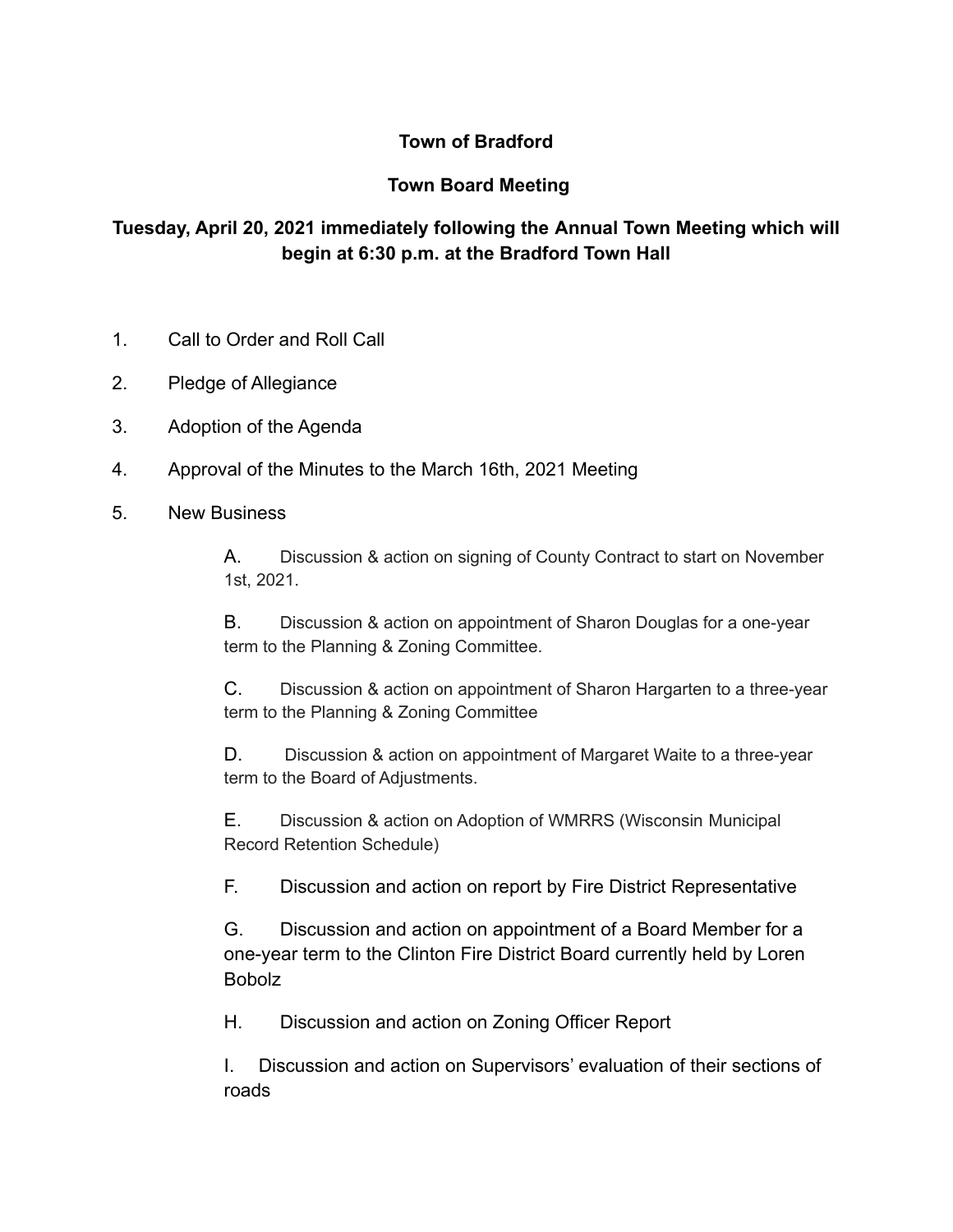## **Town of Bradford**

## **Town Board Meeting**

## **Tuesday, April 20, 2021 immediately following the Annual Town Meeting which will begin at 6:30 p.m. at the Bradford Town Hall**

- 1. Call to Order and Roll Call
- 2. Pledge of Allegiance
- 3. Adoption of the Agenda
- 4. Approval of the Minutes to the March 16th, 2021 Meeting
- 5. New Business

A. Discussion & action on signing of County Contract to start on November 1st, 2021.

B. Discussion & action on appointment of Sharon Douglas for a one-year term to the Planning & Zoning Committee.

C. Discussion & action on appointment of Sharon Hargarten to a three-year term to the Planning & Zoning Committee

D. Discussion & action on appointment of Margaret Waite to a three-year term to the Board of Adjustments.

E. Discussion & action on Adoption of WMRRS (Wisconsin Municipal Record Retention Schedule)

F. Discussion and action on report by Fire District Representative

G. Discussion and action on appointment of a Board Member for a one-year term to the Clinton Fire District Board currently held by Loren Bobolz

H. Discussion and action on Zoning Officer Report

I. Discussion and action on Supervisors' evaluation of their sections of roads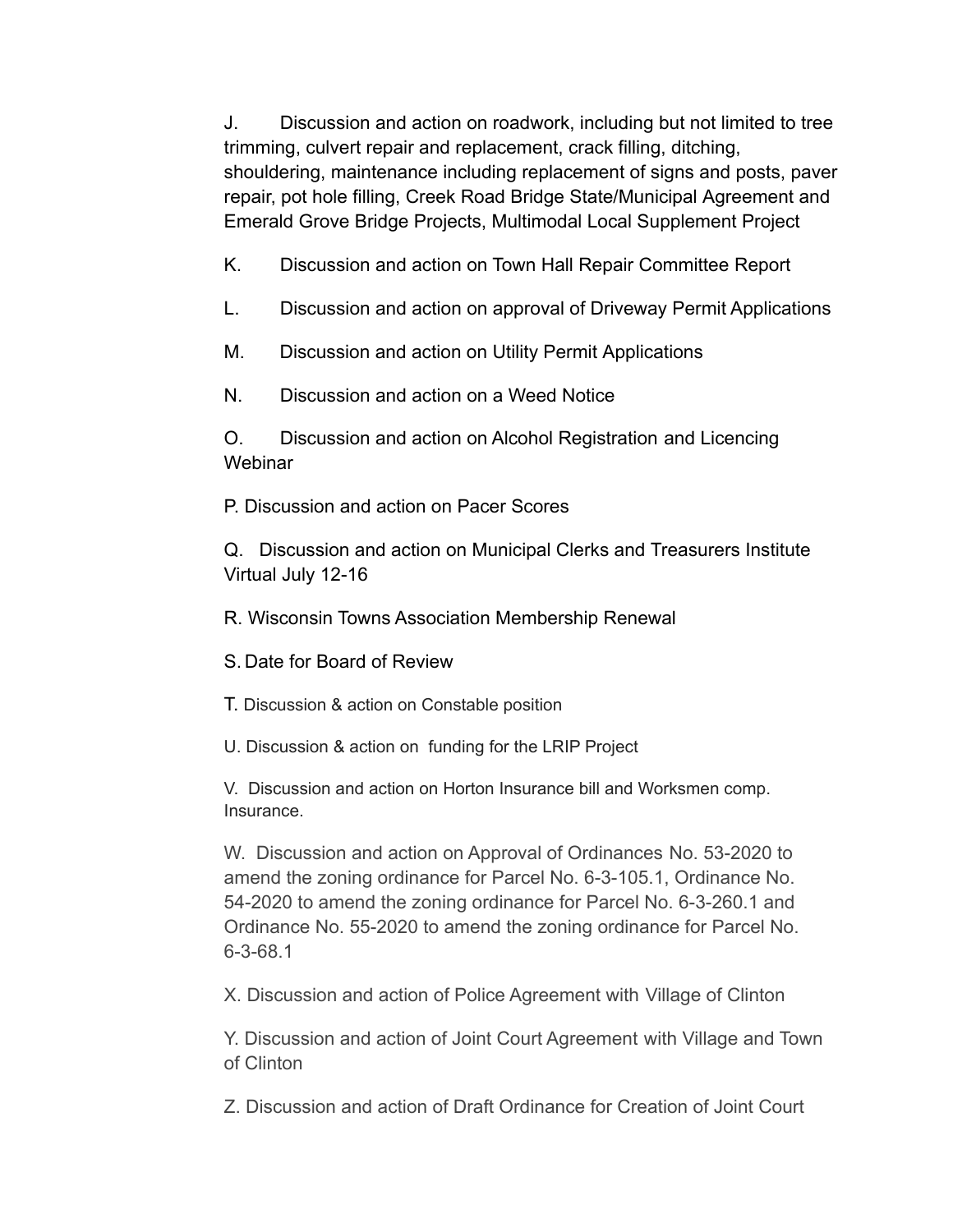J. Discussion and action on roadwork, including but not limited to tree trimming, culvert repair and replacement, crack filling, ditching, shouldering, maintenance including replacement of signs and posts, paver repair, pot hole filling, Creek Road Bridge State/Municipal Agreement and Emerald Grove Bridge Projects, Multimodal Local Supplement Project

K. Discussion and action on Town Hall Repair Committee Report

L. Discussion and action on approval of Driveway Permit Applications

M. Discussion and action on Utility Permit Applications

N. Discussion and action on a Weed Notice

O. Discussion and action on Alcohol Registration and Licencing **Webinar** 

P. Discussion and action on Pacer Scores

Q. Discussion and action on Municipal Clerks and Treasurers Institute Virtual July 12-16

R. Wisconsin Towns Association Membership Renewal

S. Date for Board of Review

T. Discussion & action on Constable position

U. Discussion & action on funding for the LRIP Project

V. Discussion and action on Horton Insurance bill and Worksmen comp. Insurance.

W. Discussion and action on Approval of Ordinances No. 53-2020 to amend the zoning ordinance for Parcel No. 6-3-105.1, Ordinance No. 54-2020 to amend the zoning ordinance for Parcel No. 6-3-260.1 and Ordinance No. 55-2020 to amend the zoning ordinance for Parcel No. 6-3-68.1

X. Discussion and action of Police Agreement with Village of Clinton

Y. Discussion and action of Joint Court Agreement with Village and Town of Clinton

Z. Discussion and action of Draft Ordinance for Creation of Joint Court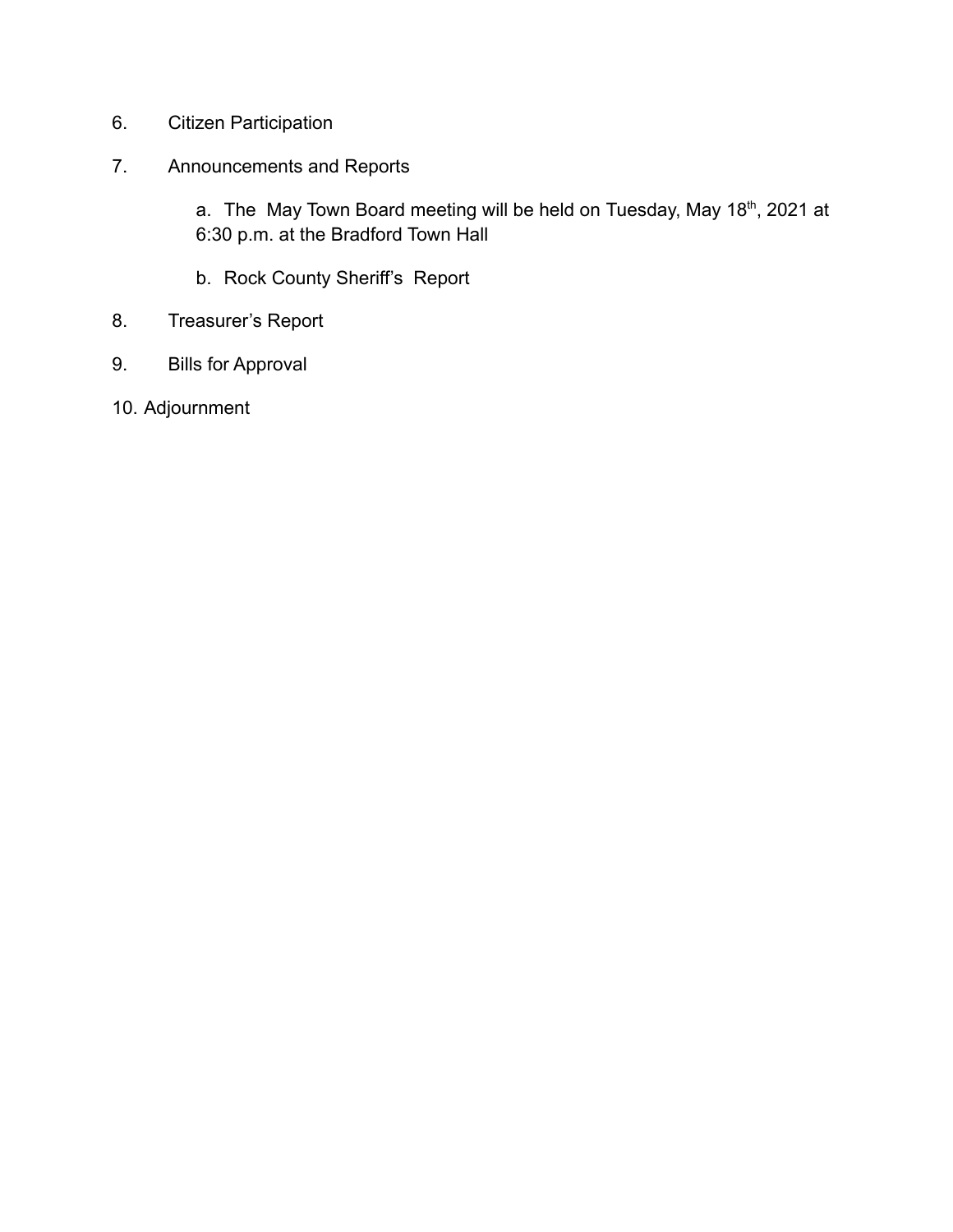- 6. Citizen Participation
- 7. Announcements and Reports

a. The May Town Board meeting will be held on Tuesday, May 18<sup>th</sup>, 2021 at 6:30 p.m. at the Bradford Town Hall

- b. Rock County Sheriff's Report
- 8. Treasurer's Report
- 9. Bills for Approval
- 10. Adjournment